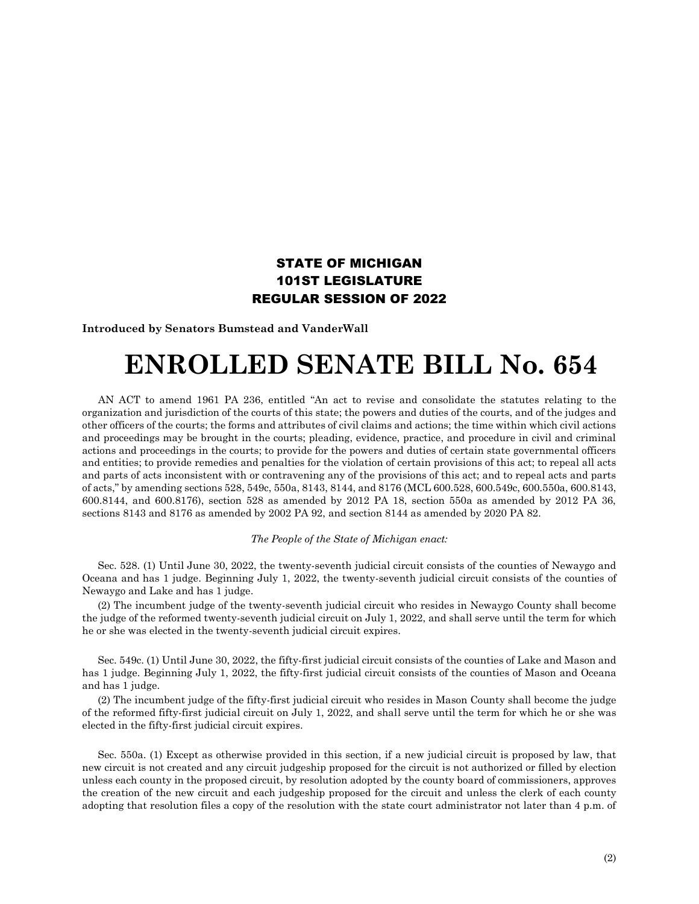## STATE OF MICHIGAN 101ST LEGISLATURE REGULAR SESSION OF 2022

**Introduced by Senators Bumstead and VanderWall**

## **ENROLLED SENATE BILL No. 654**

AN ACT to amend 1961 PA 236, entitled "An act to revise and consolidate the statutes relating to the organization and jurisdiction of the courts of this state; the powers and duties of the courts, and of the judges and other officers of the courts; the forms and attributes of civil claims and actions; the time within which civil actions and proceedings may be brought in the courts; pleading, evidence, practice, and procedure in civil and criminal actions and proceedings in the courts; to provide for the powers and duties of certain state governmental officers and entities; to provide remedies and penalties for the violation of certain provisions of this act; to repeal all acts and parts of acts inconsistent with or contravening any of the provisions of this act; and to repeal acts and parts of acts," by amending sections 528, 549c, 550a, 8143, 8144, and 8176 (MCL 600.528, 600.549c, 600.550a, 600.8143, 600.8144, and 600.8176), section 528 as amended by 2012 PA 18, section 550a as amended by 2012 PA 36, sections 8143 and 8176 as amended by 2002 PA 92, and section 8144 as amended by 2020 PA 82.

## *The People of the State of Michigan enact:*

Sec. 528. (1) Until June 30, 2022, the twenty-seventh judicial circuit consists of the counties of Newaygo and Oceana and has 1 judge. Beginning July 1, 2022, the twenty-seventh judicial circuit consists of the counties of Newaygo and Lake and has 1 judge.

(2) The incumbent judge of the twenty-seventh judicial circuit who resides in Newaygo County shall become the judge of the reformed twenty-seventh judicial circuit on July 1, 2022, and shall serve until the term for which he or she was elected in the twenty-seventh judicial circuit expires.

Sec. 549c. (1) Until June 30, 2022, the fifty-first judicial circuit consists of the counties of Lake and Mason and has 1 judge. Beginning July 1, 2022, the fifty-first judicial circuit consists of the counties of Mason and Oceana and has 1 judge.

(2) The incumbent judge of the fifty-first judicial circuit who resides in Mason County shall become the judge of the reformed fifty-first judicial circuit on July 1, 2022, and shall serve until the term for which he or she was elected in the fifty-first judicial circuit expires.

Sec. 550a. (1) Except as otherwise provided in this section, if a new judicial circuit is proposed by law, that new circuit is not created and any circuit judgeship proposed for the circuit is not authorized or filled by election unless each county in the proposed circuit, by resolution adopted by the county board of commissioners, approves the creation of the new circuit and each judgeship proposed for the circuit and unless the clerk of each county adopting that resolution files a copy of the resolution with the state court administrator not later than 4 p.m. of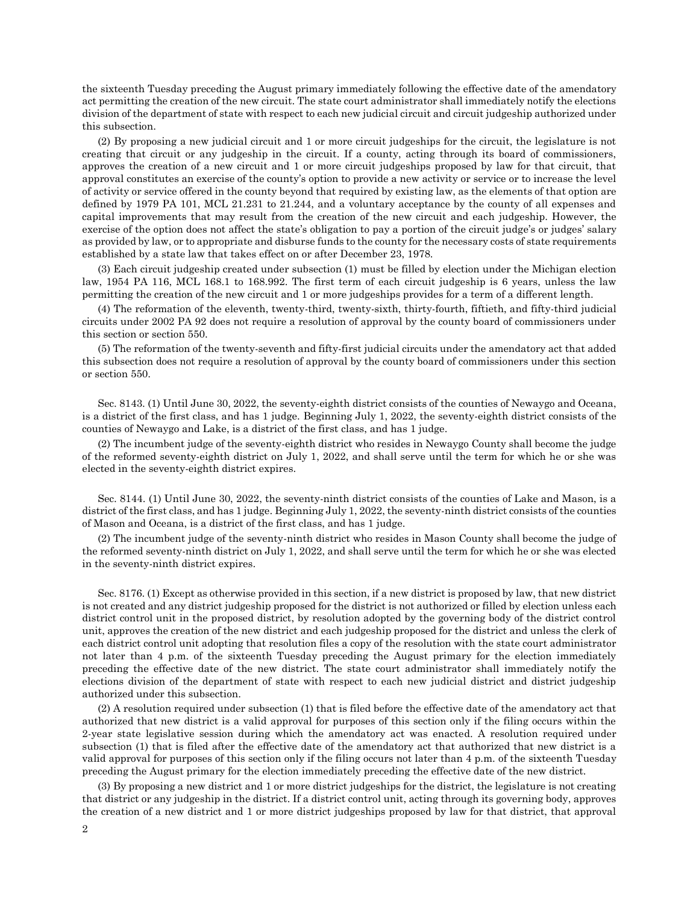the sixteenth Tuesday preceding the August primary immediately following the effective date of the amendatory act permitting the creation of the new circuit. The state court administrator shall immediately notify the elections division of the department of state with respect to each new judicial circuit and circuit judgeship authorized under this subsection.

(2) By proposing a new judicial circuit and 1 or more circuit judgeships for the circuit, the legislature is not creating that circuit or any judgeship in the circuit. If a county, acting through its board of commissioners, approves the creation of a new circuit and 1 or more circuit judgeships proposed by law for that circuit, that approval constitutes an exercise of the county's option to provide a new activity or service or to increase the level of activity or service offered in the county beyond that required by existing law, as the elements of that option are defined by 1979 PA 101, MCL 21.231 to 21.244, and a voluntary acceptance by the county of all expenses and capital improvements that may result from the creation of the new circuit and each judgeship. However, the exercise of the option does not affect the state's obligation to pay a portion of the circuit judge's or judges' salary as provided by law, or to appropriate and disburse funds to the county for the necessary costs of state requirements established by a state law that takes effect on or after December 23, 1978.

(3) Each circuit judgeship created under subsection (1) must be filled by election under the Michigan election law, 1954 PA 116, MCL 168.1 to 168.992. The first term of each circuit judgeship is 6 years, unless the law permitting the creation of the new circuit and 1 or more judgeships provides for a term of a different length.

(4) The reformation of the eleventh, twenty-third, twenty-sixth, thirty-fourth, fiftieth, and fifty-third judicial circuits under 2002 PA 92 does not require a resolution of approval by the county board of commissioners under this section or section 550.

(5) The reformation of the twenty-seventh and fifty-first judicial circuits under the amendatory act that added this subsection does not require a resolution of approval by the county board of commissioners under this section or section 550.

Sec. 8143. (1) Until June 30, 2022, the seventy-eighth district consists of the counties of Newaygo and Oceana, is a district of the first class, and has 1 judge. Beginning July 1, 2022, the seventy-eighth district consists of the counties of Newaygo and Lake, is a district of the first class, and has 1 judge.

(2) The incumbent judge of the seventy-eighth district who resides in Newaygo County shall become the judge of the reformed seventy-eighth district on July 1, 2022, and shall serve until the term for which he or she was elected in the seventy-eighth district expires.

Sec. 8144. (1) Until June 30, 2022, the seventy-ninth district consists of the counties of Lake and Mason, is a district of the first class, and has 1 judge. Beginning July 1, 2022, the seventy-ninth district consists of the counties of Mason and Oceana, is a district of the first class, and has 1 judge.

(2) The incumbent judge of the seventy-ninth district who resides in Mason County shall become the judge of the reformed seventy-ninth district on July 1, 2022, and shall serve until the term for which he or she was elected in the seventy-ninth district expires.

Sec. 8176. (1) Except as otherwise provided in this section, if a new district is proposed by law, that new district is not created and any district judgeship proposed for the district is not authorized or filled by election unless each district control unit in the proposed district, by resolution adopted by the governing body of the district control unit, approves the creation of the new district and each judgeship proposed for the district and unless the clerk of each district control unit adopting that resolution files a copy of the resolution with the state court administrator not later than 4 p.m. of the sixteenth Tuesday preceding the August primary for the election immediately preceding the effective date of the new district. The state court administrator shall immediately notify the elections division of the department of state with respect to each new judicial district and district judgeship authorized under this subsection.

(2) A resolution required under subsection (1) that is filed before the effective date of the amendatory act that authorized that new district is a valid approval for purposes of this section only if the filing occurs within the 2-year state legislative session during which the amendatory act was enacted. A resolution required under subsection (1) that is filed after the effective date of the amendatory act that authorized that new district is a valid approval for purposes of this section only if the filing occurs not later than 4 p.m. of the sixteenth Tuesday preceding the August primary for the election immediately preceding the effective date of the new district.

(3) By proposing a new district and 1 or more district judgeships for the district, the legislature is not creating that district or any judgeship in the district. If a district control unit, acting through its governing body, approves the creation of a new district and 1 or more district judgeships proposed by law for that district, that approval